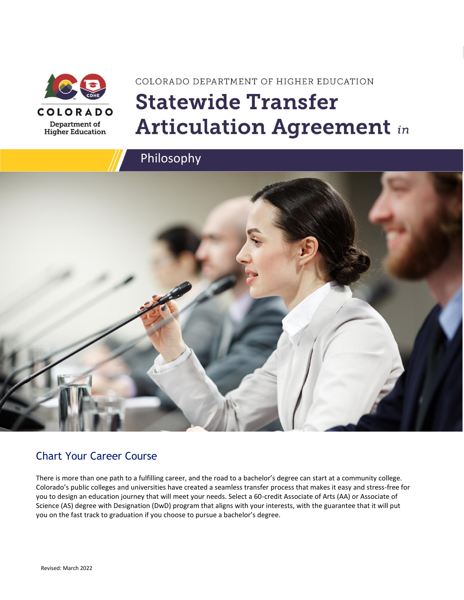

# COLORADO DEPARTMENT OF HIGHER EDUCATION **Statewide Transfer Articulation Agreement in**



### Chart Your Career Course

There is more than one path to a fulfilling career, and the road to a bachelor's degree can start at a community college. Colorado's public colleges and universities have created a seamless transfer process that makes it easy and stress-free for you to design an education journey that will meet your needs. Select a 60-credit Associate of Arts (AA) or Associate of Science (AS) degree with Designation (DwD) program that aligns with your interests, with the guarantee that it will put you on the fast track to graduation if you choose to pursue a bachelor's degree.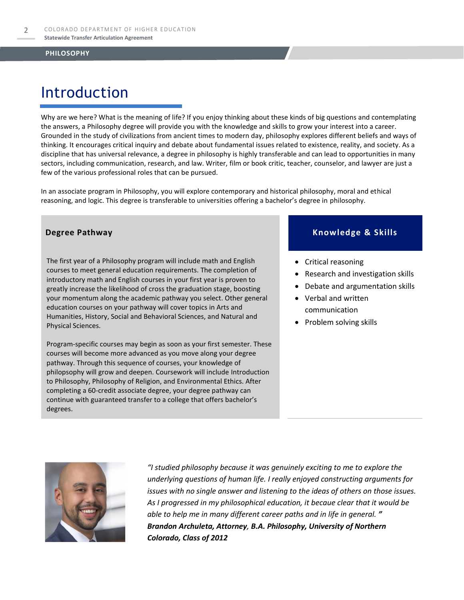## Introduction

Why are we here? What is the meaning of life? If you enjoy thinking about these kinds of big questions and contemplating the answers, a Philosophy degree will provide you with the knowledge and skills to grow your interest into a career. Grounded in the study of civilizations from ancient times to modern day, philosophy explores different beliefs and ways of thinking. It encourages critical inquiry and debate about fundamental issues related to existence, reality, and society. As a discipline that has universal relevance, a degree in philosophy is highly transferable and can lead to opportunities in many sectors, including communication, research, and law. Writer, film or book critic, teacher, counselor, and lawyer are just a few of the various professional roles that can be pursued.

In an associate program in Philosophy, you will explore contemporary and historical philosophy, moral and ethical reasoning, and logic. This degree is transferable to universities offering a bachelor's degree in philosophy.

The first year of a Philosophy program will include math and English courses to meet general education requirements. The completion of introductory math and English courses in your first year is proven to greatly increase the likelihood of cross the graduation stage, boosting your momentum along the academic pathway you select. Other general education courses on your pathway will cover topics in Arts and Humanities, History, Social and Behavioral Sciences, and Natural and Physical Sciences.

Program-specific courses may begin as soon as your first semester. These courses will become more advanced as you move along your degree pathway. Through this sequence of courses, your knowledge of philopsophy will grow and deepen. Coursework will include Introduction to Philosophy, Philosophy of Religion, and Environmental Ethics. After completing a 60-credit associate degree, your degree pathway can continue with guaranteed transfer to a college that offers bachelor's degrees.

#### **Degree Pathway Knowledge & Skills**

- Critical reasoning
- Research and investigation skills
- Debate and argumentation skills
- Verbal and written communication
- Problem solving skills



*"I studied philosophy because it was genuinely exciting to me to explore the underlying questions of human life. I really enjoyed constructing arguments for issues with no single answer and listening to the ideas of others on those issues. As I progressed in my philosophical education, it becaue clear that it would be able to help me in many different career paths and in life in general. " Brandon Archuleta, Attorney, B.A. Philosophy, University of Northern Colorado, Class of 2012*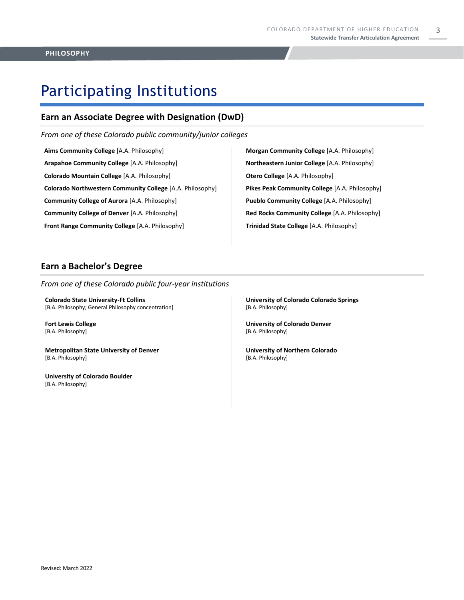3

# Participating Institutions

### **Earn an Associate Degree with Designation (DwD)**

*From one of these Colorado public community/junior colleges*

**Aims Community College** [A.A. Philosophy] **Arapahoe Community College** [A.A. Philosophy] **Colorado Mountain College** [A.A. Philosophy] **Colorado Northwestern Community College** [A.A. Philosophy] **Community College of Aurora** [A.A. Philosophy] **Community College of Denver** [A.A. Philosophy] **Front Range Community College** [A.A. Philosophy]

**Morgan Community College** [A.A. Philosophy] **Northeastern Junior College** [A.A. Philosophy] **Otero College** [A.A. Philosophy] **Pikes Peak Community College** [A.A. Philosophy] **Pueblo Community College** [A.A. Philosophy] **Red Rocks Community College** [A.A. Philosophy] **Trinidad State College** [A.A. Philosophy]

### **Earn a Bachelor's Degree**

*From one of these Colorado public four-year institutions*

**Colorado State University-Ft Collins**  [B.A. Philosophy; General Philosophy concentration]

**Fort Lewis College**  [B.A. Philosophy]

**Metropolitan State University of Denver**  [B.A. Philosophy]

**University of Colorado Boulder**  [B.A. Philosophy]

**University of Colorado Colorado Springs** [B.A. Philosophy]

**University of Colorado Denver** [B.A. Philosophy]

**University of Northern Colorado** [B.A. Philosophy]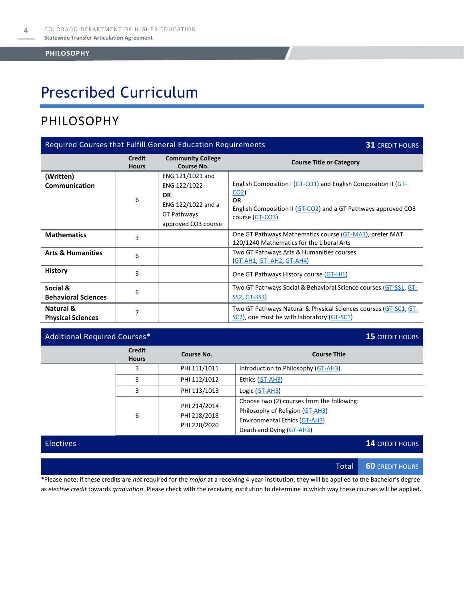# Prescribed Curriculum

### PHILOSOPHY

| Required Courses that Fulfill General Education Requirements<br><b>31 CREDIT HOURS</b> |                               |                                                                                                           |                                                                                                                                                                                     |  |
|----------------------------------------------------------------------------------------|-------------------------------|-----------------------------------------------------------------------------------------------------------|-------------------------------------------------------------------------------------------------------------------------------------------------------------------------------------|--|
|                                                                                        | <b>Credit</b><br><b>Hours</b> | <b>Community College</b><br>Course No.                                                                    | <b>Course Title or Category</b>                                                                                                                                                     |  |
| (Written)<br><b>Communication</b>                                                      | 6                             | ENG 121/1021 and<br>ENG 122/1022<br><b>OR</b><br>ENG 122/1022 and a<br>GT Pathways<br>approved CO3 course | English Composition I (GT-CO1) and English Composition II (GT-<br>CO <sub>2</sub><br><b>OR</b><br>English Composition II (GT-CO2) and a GT Pathways approved CO3<br>course (GT-CO3) |  |
| <b>Mathematics</b>                                                                     | 3                             |                                                                                                           | One GT Pathways Mathematics course (GT-MA1), prefer MAT<br>120/1240 Mathematics for the Liberal Arts                                                                                |  |
| <b>Arts &amp; Humanities</b>                                                           | 6                             |                                                                                                           | Two GT Pathways Arts & Humanities courses<br>GT-AH1, GT-AH2, GT-AH4)                                                                                                                |  |
| <b>History</b>                                                                         | 3                             |                                                                                                           | One GT Pathways History course (GT-HI1)                                                                                                                                             |  |
| Social &<br><b>Behavioral Sciences</b>                                                 | 6                             |                                                                                                           | Two GT Pathways Social & Behavioral Science courses (GT-SS1, GT-<br><b>SS2, GT-SS3</b>                                                                                              |  |
| Natural &<br><b>Physical Sciences</b>                                                  | 7                             |                                                                                                           | Two GT Pathways Natural & Physical Sciences courses (GT-SC1, GT-<br>SC2), one must be with laboratory (GT-SC1)                                                                      |  |

#### Additional Required Courses\* **15** CREDIT HOURS

|                  | <b>Credit</b><br><b>Hours</b> | Course No.                                   | <b>Course Title</b>                                                                                                                        |
|------------------|-------------------------------|----------------------------------------------|--------------------------------------------------------------------------------------------------------------------------------------------|
|                  | 3                             | PHI 111/1011                                 | Introduction to Philosophy (GT-AH3)                                                                                                        |
|                  | 3                             | PHI 112/1012                                 | Ethics (GT-AH3)                                                                                                                            |
|                  | 3                             | PHI 113/1013                                 | Logic (GT-AH3)                                                                                                                             |
|                  | 6                             | PHI 214/2014<br>PHI 218/2018<br>PHI 220/2020 | Choose two (2) courses from the following:<br>Philosophy of Religion (GT-AH3)<br>Environmental Ethics (GT-AH3)<br>Death and Dying (GT-AH3) |
| <b>Electives</b> |                               |                                              | <b>14 CREDIT HOURS</b>                                                                                                                     |

Total **60** CREDIT HOURS

\*Please note: if these credits are *not* required for the *major* at a receiving 4-year institution, they will be applied to the Bachelor's degree as *elective credit* towards *graduation*. Please check with the receiving institution to determine in which way these courses will be applied.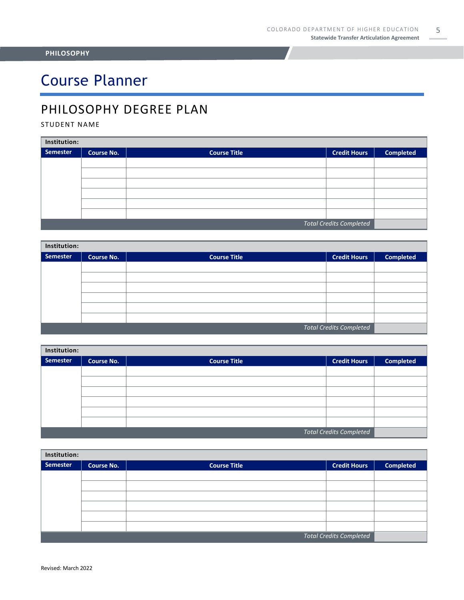# Course Planner

### PHILOSOPHY DEGREE PLAN

#### STUDENT NAME

| Institution:                   |                   |                     |                     |                  |  |
|--------------------------------|-------------------|---------------------|---------------------|------------------|--|
| Semester                       | <b>Course No.</b> | <b>Course Title</b> | <b>Credit Hours</b> | <b>Completed</b> |  |
|                                |                   |                     |                     |                  |  |
|                                |                   |                     |                     |                  |  |
|                                |                   |                     |                     |                  |  |
|                                |                   |                     |                     |                  |  |
|                                |                   |                     |                     |                  |  |
|                                |                   |                     |                     |                  |  |
| <b>Total Credits Completed</b> |                   |                     |                     |                  |  |

| Institution:                   |                   |                     |                     |                  |  |  |
|--------------------------------|-------------------|---------------------|---------------------|------------------|--|--|
| <b>Semester</b>                | <b>Course No.</b> | <b>Course Title</b> | <b>Credit Hours</b> | <b>Completed</b> |  |  |
|                                |                   |                     |                     |                  |  |  |
|                                |                   |                     |                     |                  |  |  |
|                                |                   |                     |                     |                  |  |  |
|                                |                   |                     |                     |                  |  |  |
|                                |                   |                     |                     |                  |  |  |
|                                |                   |                     |                     |                  |  |  |
| <b>Total Credits Completed</b> |                   |                     |                     |                  |  |  |

| Institution:                   |                   |                     |                     |                  |  |
|--------------------------------|-------------------|---------------------|---------------------|------------------|--|
| Semester                       | <b>Course No.</b> | <b>Course Title</b> | <b>Credit Hours</b> | <b>Completed</b> |  |
|                                |                   |                     |                     |                  |  |
|                                |                   |                     |                     |                  |  |
|                                |                   |                     |                     |                  |  |
|                                |                   |                     |                     |                  |  |
|                                |                   |                     |                     |                  |  |
|                                |                   |                     |                     |                  |  |
| <b>Total Credits Completed</b> |                   |                     |                     |                  |  |

| Institution:                   |                   |                     |                     |                  |  |
|--------------------------------|-------------------|---------------------|---------------------|------------------|--|
| Semester                       | <b>Course No.</b> | <b>Course Title</b> | <b>Credit Hours</b> | <b>Completed</b> |  |
|                                |                   |                     |                     |                  |  |
|                                |                   |                     |                     |                  |  |
|                                |                   |                     |                     |                  |  |
|                                |                   |                     |                     |                  |  |
|                                |                   |                     |                     |                  |  |
|                                |                   |                     |                     |                  |  |
| <b>Total Credits Completed</b> |                   |                     |                     |                  |  |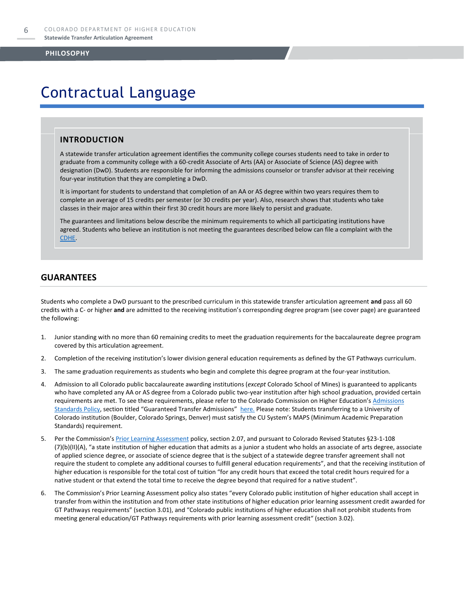### Contractual Language

#### **INTRODUCTION**

A statewide transfer articulation agreement identifies the community college courses students need to take in order to graduate from a community college with a 60-credit Associate of Arts (AA) or Associate of Science (AS) degree with designation (DwD). Students are responsible for informing the admissions counselor or transfer advisor at their receiving four-year institution that they are completing a DwD.

It is important for students to understand that completion of an AA or AS degree within two years requires them to complete an average of 15 credits per semester (or 30 credits per year). Also, research shows that students who take classes in their major area within their first 30 credit hours are more likely to persist and graduate.

The guarantees and limitations below describe the minimum requirements to which all participating institutions have agreed. Students who believe an institution is not meeting the guarantees described below can file a complaint with the [CDHE.](https://highered.colorado.gov/filing-student-complaint) 

#### **GUARANTEES**

Students who complete a DwD pursuant to the prescribed curriculum in this statewide transfer articulation agreement **and** pass all 60 credits with a C- or higher **and** are admitted to the receiving institution's corresponding degree program (see cover page) are guaranteed the following:

- 1. Junior standing with no more than 60 remaining credits to meet the graduation requirements for the baccalaureate degree program covered by this articulation agreement.
- 2. Completion of the receiving institution's lower division general education requirements as defined by the GT Pathways curriculum.
- 3. The same graduation requirements as students who begin and complete this degree program at the four-year institution.
- 4. Admission to all Colorado public baccalaureate awarding institutions (*except* Colorado School of Mines) is guaranteed to applicants who have completed any AA or AS degree from a Colorado public two-year institution after high school graduation, provided certain requirements are met. To see these requirements, please refer to the Colorado Commission on Higher Education's Admissions [Standards Policy](https://highered.colorado.gov/sites/highered/files/2020-03/i-partf_0.pdf), section titled "Guaranteed Transfer Admissions" [here.](https://highered.colorado.gov/educators/policy-funding/cche-policies-procedures) Please note: Students transferring to a University of Colorado institution (Boulder, Colorado Springs, Denver) must satisfy the CU System's MAPS (Minimum Academic Preparation Standards) requirement.
- 5. Per the Commission's **[Prior Learning Assessment](https://highered.colorado.gov/sites/highered/files/2020-03/i-partx.pdf)** policy, section 2.07, and pursuant to Colorado Revised Statutes §23-1-108 (7)(b)(II)(A), "a state institution of higher education that admits as a junior a student who holds an associate of arts degree, associate of applied science degree, or associate of science degree that is the subject of a statewide degree transfer agreement shall not require the student to complete any additional courses to fulfill general education requirements", and that the receiving institution of higher education is responsible for the total cost of tuition "for any credit hours that exceed the total credit hours required for a native student or that extend the total time to receive the degree beyond that required for a native student".
- 6. The Commission's Prior Learning Assessment policy also states "every Colorado public institution of higher education shall accept in transfer from within the institution and from other state institutions of higher education prior learning assessment credit awarded for GT Pathways requirements" (section 3.01), and "Colorado public institutions of higher education shall not prohibit students from meeting general education/GT Pathways requirements with prior learning assessment credit" (section 3.02).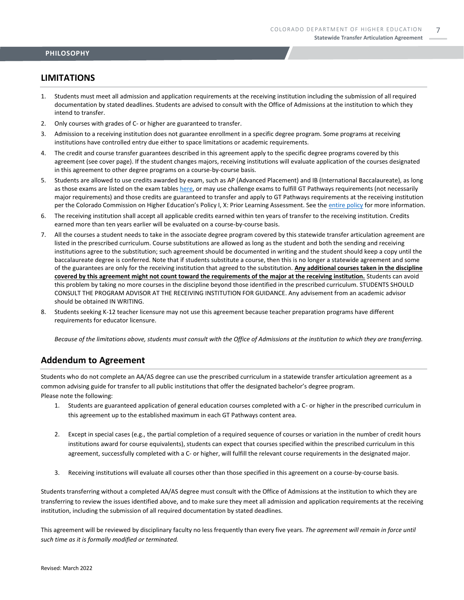#### **LIMITATIONS**

- 1. Students must meet all admission and application requirements at the receiving institution including the submission of all required documentation by stated deadlines. Students are advised to consult with the Office of Admissions at the institution to which they intend to transfer.
- 2. Only courses with grades of C- or higher are guaranteed to transfer.
- 3. Admission to a receiving institution does not guarantee enrollment in a specific degree program. Some programs at receiving institutions have controlled entry due either to space limitations or academic requirements.
- 4. The credit and course transfer guarantees described in this agreement apply to the specific degree programs covered by this agreement (see cover page). If the student changes majors, receiving institutions will evaluate application of the courses designated in this agreement to other degree programs on a course-by-course basis.
- 5. Students are allowed to use credits awarded by exam, such as AP (Advanced Placement) and IB (International Baccalaureate), as long as those exams are listed on the exam table[s here,](https://highered.colorado.gov/get-credit-for-what-you-already-know) or may use challenge exams to fulfill GT Pathways requirements (not necessarily major requirements) and those credits are guaranteed to transfer and apply to GT Pathways requirements at the receiving institution per the Colorado Commission on Higher Education's Policy I, X: Prior Learning Assessment. See the [entire policy](https://highered.colorado.gov/sites/highered/files/2020-03/i-partx.pdf) for more information.
- 6. The receiving institution shall accept all applicable credits earned within ten years of transfer to the receiving institution. Credits earned more than ten years earlier will be evaluated on a course-by-course basis.
- 7. All the courses a student needs to take in the associate degree program covered by this statewide transfer articulation agreement are listed in the prescribed curriculum. Course substitutions are allowed as long as the student and both the sending and receiving institutions agree to the substitution; such agreement should be documented in writing and the student should keep a copy until the baccalaureate degree is conferred. Note that if students substitute a course, then this is no longer a statewide agreement and some of the guarantees are only for the receiving institution that agreed to the substitution. **Any additional courses taken in the discipline covered by this agreement might not count toward the requirements of the major at the receiving institution.** Students can avoid this problem by taking no more courses in the discipline beyond those identified in the prescribed curriculum. STUDENTS SHOULD CONSULT THE PROGRAM ADVISOR AT THE RECEIVING INSTITUTION FOR GUIDANCE. Any advisement from an academic advisor should be obtained IN WRITING.
- 8. Students seeking K-12 teacher licensure may not use this agreement because teacher preparation programs have different requirements for educator licensure.

*Because of the limitations above, students must consult with the Office of Admissions at the institution to which they are transferring.*

#### **Addendum to Agreement**

Students who do not complete an AA/AS degree can use the prescribed curriculum in a statewide transfer articulation agreement as a common advising guide for transfer to all public institutions that offer the designated bachelor's degree program. Please note the following:

- 1. Students are guaranteed application of general education courses completed with a C- or higher in the prescribed curriculum in this agreement up to the established maximum in each GT Pathways content area.
- 2. Except in special cases (e.g., the partial completion of a required sequence of courses or variation in the number of credit hours institutions award for course equivalents), students can expect that courses specified within the prescribed curriculum in this agreement, successfully completed with a C- or higher, will fulfill the relevant course requirements in the designated major.
- 3. Receiving institutions will evaluate all courses other than those specified in this agreement on a course-by-course basis.

Students transferring without a completed AA/AS degree must consult with the Office of Admissions at the institution to which they are transferring to review the issues identified above, and to make sure they meet all admission and application requirements at the receiving institution, including the submission of all required documentation by stated deadlines.

This agreement will be reviewed by disciplinary faculty no less frequently than every five years. *The agreement will remain in force until such time as it is formally modified or terminated.*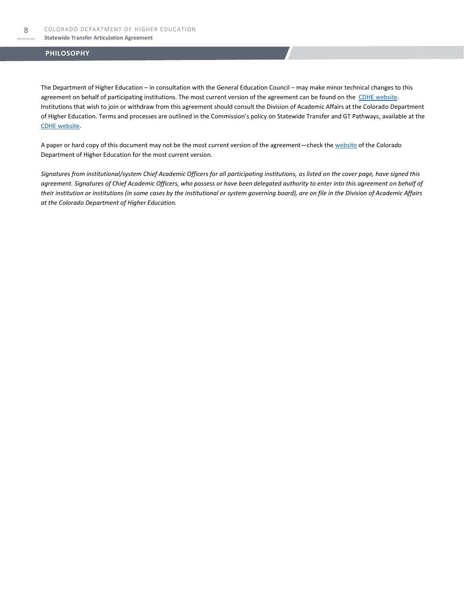#### **Statewide Transfer Articulation Agreement**

#### **PHILOSOPHY**

The Department of Higher Education – in consultation with the General Education Council – may make minor technical changes to this agreement on behalf of participating institutions. The most current version of the agreement can be found on the [CDHE website.](https://highered.colorado.gov/transfer-degrees) Institutions that wish to join or withdraw from this agreement should consult the Division of Academic Affairs at the Colorado Department of Higher Education. Terms and processes are outlined in the Commission's policy on Statewide Transfer and GT Pathways, available at the [CDHE website.](https://highered.colorado.gov/educators/policy-funding/general-education-ge-council/gtpathways/transfer-agreements)

A paper or hard copy of this document may not be the most current version of the agreement—check th[e website](https://highered.colorado.gov/transfer-degrees) of the Colorado Department of Higher Education for the most current version.

*Signatures from institutional/system Chief Academic Officers for all participating institutions, as listed on the cover page, have signed this agreement. Signatures of Chief Academic Officers, who possess or have been delegated authority to enter into this agreement on behalf of their institution or institutions (in some cases by the institutional or system governing board), are on file in the Division of Academic Affairs at the Colorado Department of Higher Education.*